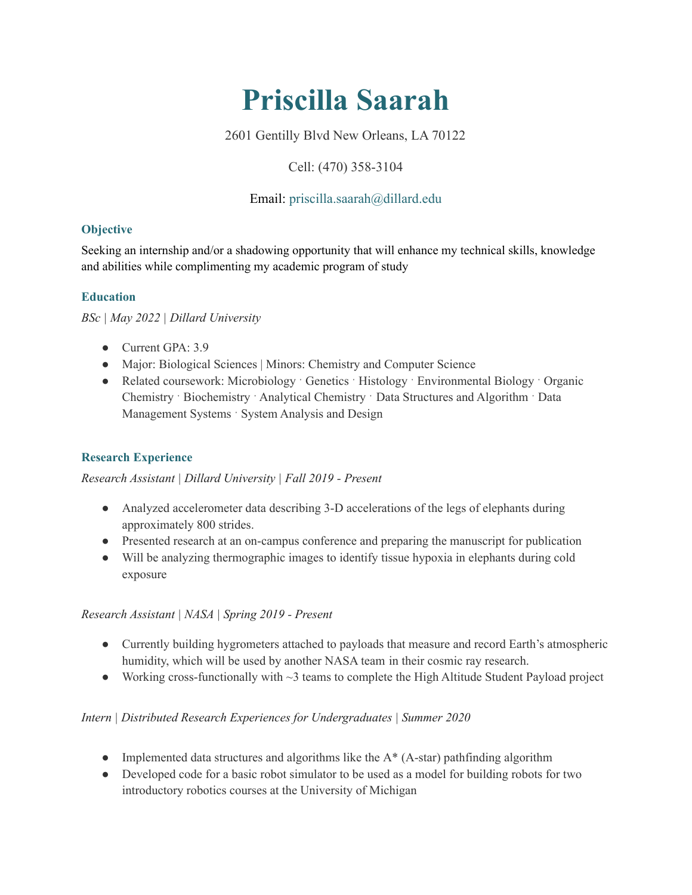# **Priscilla Saarah**

2601 Gentilly Blvd New Orleans, LA 70122

# Cell: (470) 358-3104

# Email: priscilla.saarah@dillard.edu

## **Objective**

Seeking an internship and/or a shadowing opportunity that will enhance my technical skills, knowledge and abilities while complimenting my academic program of study

## **Education**

*BSc | May 2022 | Dillard University*

- Current GPA: 3.9
- Major: Biological Sciences | Minors: Chemistry and Computer Science
- Related coursework: Microbiology  $\cdot$  Genetics  $\cdot$  Histology  $\cdot$  Environmental Biology  $\cdot$  Organic Chemistry ˑ Biochemistry ˑ Analytical Chemistry ˑ Data Structures and Algorithm ˑ Data Management Systems · System Analysis and Design

## **Research Experience**

## *Research Assistant | Dillard University | Fall 2019 - Present*

- Analyzed accelerometer data describing 3-D accelerations of the legs of elephants during approximately 800 strides.
- Presented research at an on-campus conference and preparing the manuscript for publication
- Will be analyzing thermographic images to identify tissue hypoxia in elephants during cold exposure

## *Research Assistant | NASA | Spring 2019 - Present*

- Currently building hygrometers attached to payloads that measure and record Earth's atmospheric humidity, which will be used by another NASA team in their cosmic ray research.
- Working cross-functionally with  $\sim$ 3 teams to complete the High Altitude Student Payload project

## *Intern | Distributed Research Experiences for Undergraduates | Summer 2020*

- Implemented data structures and algorithms like the  $A^*$  (A-star) pathfinding algorithm
- Developed code for a basic robot simulator to be used as a model for building robots for two introductory robotics courses at the University of Michigan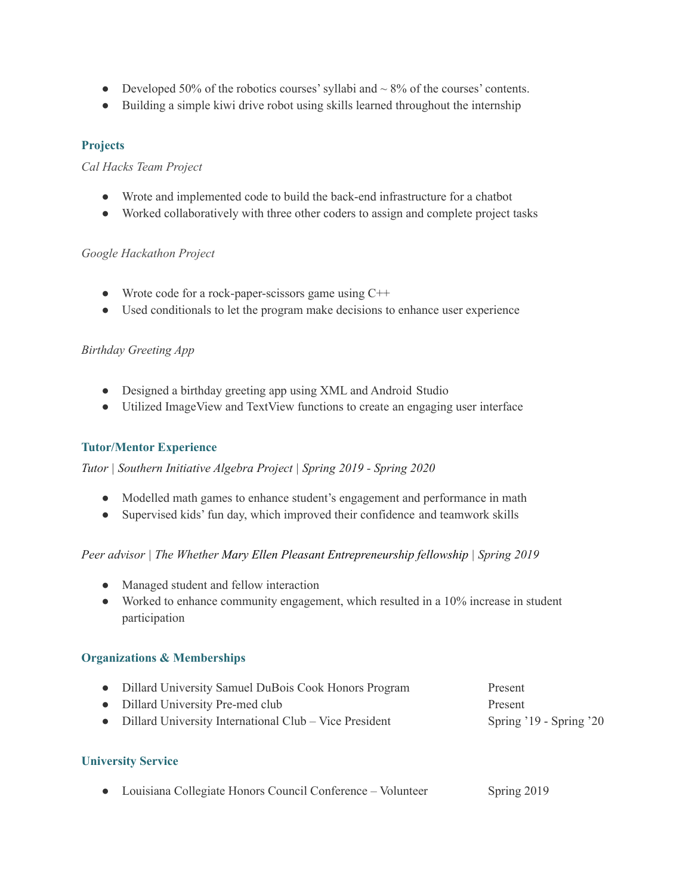- Developed 50% of the robotics courses' syllabi and  $\sim$  8% of the courses' contents.
- Building a simple kiwi drive robot using skills learned throughout the internship

## **Projects**

#### *Cal Hacks Team Project*

- Wrote and implemented code to build the back-end infrastructure for a chatbot
- Worked collaboratively with three other coders to assign and complete project tasks

#### *Google Hackathon Project*

- Wrote code for a rock-paper-scissors game using  $C++$
- Used conditionals to let the program make decisions to enhance user experience

## *Birthday Greeting App*

- Designed a birthday greeting app using XML and Android Studio
- Utilized ImageView and TextView functions to create an engaging user interface

## **Tutor/Mentor Experience**

*Tutor | Southern Initiative Algebra Project | Spring 2019 - Spring 2020*

- Modelled math games to enhance student's engagement and performance in math
- Supervised kids' fun day, which improved their confidence and teamwork skills

## *Peer advisor | The Whether Mary Ellen Pleasant Entrepreneurship fellowship | Spring 2019*

- Managed student and fellow interaction
- Worked to enhance community engagement, which resulted in a 10% increase in student participation

## **Organizations & Memberships**

| • Dillard University Samuel DuBois Cook Honors Program   | Present                 |
|----------------------------------------------------------|-------------------------|
| • Dillard University Pre-med club                        | Present                 |
| • Dillard University International Club – Vice President | Spring '19 - Spring '20 |

## **University Service**

|  | • Louisiana Collegiate Honors Council Conference – Volunteer | Spring 2019 |
|--|--------------------------------------------------------------|-------------|
|--|--------------------------------------------------------------|-------------|